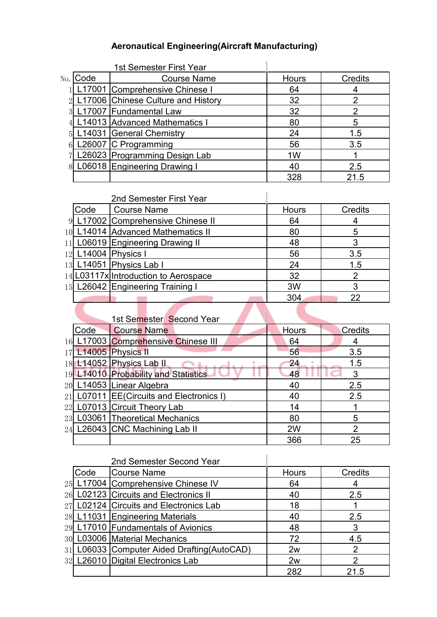### **Aeronautical Engineering(Aircraft Manufacturing)**

|     |      | 1st Semester First Year            |              |                |
|-----|------|------------------------------------|--------------|----------------|
| No. | Code | <b>Course Name</b>                 | <b>Hours</b> | <b>Credits</b> |
|     |      | L17001 Comprehensive Chinese I     | 64           |                |
|     |      | L17006 Chinese Culture and History | 32           |                |
|     |      | 17007 Fundamental Law              | 32           |                |
|     |      | 14013 Advanced Mathematics I       | 80           | 5              |
|     |      | .14031 General Chemistry           | 24           | 1.5            |
|     |      | 26007 C Programming                | 56           | 3.5            |
|     |      | 26023 Programming Design Lab       | 1W           |                |
|     |      | L06018 Engineering Drawing I       | 40           | 2.5            |
|     |      |                                    | 328          | 21.5           |

#### 2nd Semester First Year

| Code | <b>Course Name</b>                   | <b>Hours</b> | <b>Credits</b> |
|------|--------------------------------------|--------------|----------------|
|      | 9 L17002 Comprehensive Chinese II    | 64           |                |
|      | 10 L14014 Advanced Mathematics II    | 80           |                |
|      | 11 L06019 Engineering Drawing II     | 48           |                |
|      | 12 L14004 Physics I                  | 56           | 3.5            |
|      | 13 L14051 Physics Lab I              | 24           | 1.5            |
|      | 14 L03117x Introduction to Aerospace | 32           |                |
|      | 15 L26042 Engineering Training I     | 3W           |                |
|      |                                      | 304          | 22             |

I

## 1st Semester Second Year

| Code<br><b>Course Name</b><br><b>Hours</b><br>Credits<br>16 L17003 Comprehensive Chinese III<br>64<br>17 L14005 Physics II<br>56<br>3.5<br>18 L14052 Physics Lab II<br>24<br>1.5<br>19 L14010 Probability and Statistics<br>48<br>20 L14053 Linear Algebra<br>40<br>2.5<br>21 L07011 EE(Circuits and Electronics I)<br>40<br>2.5<br>22 L07013 Circuit Theory Lab<br>14<br>23 L03061 Theoretical Mechanics<br>80<br>5<br>24 L26043 CNC Machining Lab II<br>2W<br>366<br>25 |  |  |  |
|---------------------------------------------------------------------------------------------------------------------------------------------------------------------------------------------------------------------------------------------------------------------------------------------------------------------------------------------------------------------------------------------------------------------------------------------------------------------------|--|--|--|
|                                                                                                                                                                                                                                                                                                                                                                                                                                                                           |  |  |  |
|                                                                                                                                                                                                                                                                                                                                                                                                                                                                           |  |  |  |
|                                                                                                                                                                                                                                                                                                                                                                                                                                                                           |  |  |  |
|                                                                                                                                                                                                                                                                                                                                                                                                                                                                           |  |  |  |
|                                                                                                                                                                                                                                                                                                                                                                                                                                                                           |  |  |  |
|                                                                                                                                                                                                                                                                                                                                                                                                                                                                           |  |  |  |
|                                                                                                                                                                                                                                                                                                                                                                                                                                                                           |  |  |  |
|                                                                                                                                                                                                                                                                                                                                                                                                                                                                           |  |  |  |
|                                                                                                                                                                                                                                                                                                                                                                                                                                                                           |  |  |  |
|                                                                                                                                                                                                                                                                                                                                                                                                                                                                           |  |  |  |
|                                                                                                                                                                                                                                                                                                                                                                                                                                                                           |  |  |  |

### 2nd Semester Second Year

| Code | Course Name                                 | <b>Hours</b> | <b>Credits</b> |
|------|---------------------------------------------|--------------|----------------|
|      | 25 L17004 Comprehensive Chinese IV          | 64           |                |
|      | 26 L02123 Circuits and Electronics II       | 40           | 2.5            |
|      | 27 L02124 Circuits and Electronics Lab      | 18           |                |
|      | 28 L11031 Engineering Materials             | 40           | 2.5            |
|      | 29 L17010 Fundamentals of Avionics          | 48           |                |
|      | 30 L03006 Material Mechanics                | 72           | 4.5            |
|      | 31 L06033 Computer Aided Drafting (AutoCAD) | 2w           |                |
|      | 32 L26010 Digital Electronics Lab           | 2w           |                |
|      |                                             | 282          | 21.5           |